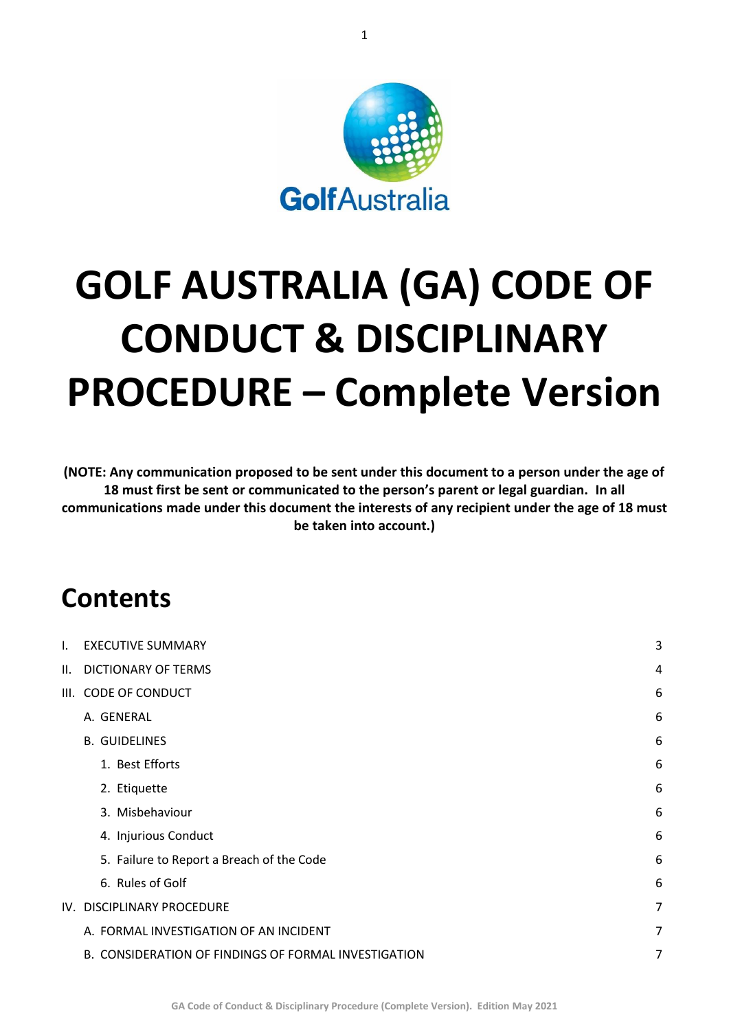

# **GOLF AUSTRALIA (GA) CODE OF CONDUCT & DISCIPLINARY PROCEDURE – Complete Version**

**(NOTE: Any communication proposed to be sent under this document to a person under the age of 18 must first be sent or communicated to the person's parent or legal guardian. In all communications made under this document the interests of any recipient under the age of 18 must be taken into account.)**

# **Contents**

| I. | <b>EXECUTIVE SUMMARY</b>                             | 3 |
|----|------------------------------------------------------|---|
|    | II. DICTIONARY OF TERMS                              | 4 |
|    | III. CODE OF CONDUCT                                 | 6 |
|    | A. GENERAL                                           | 6 |
|    | <b>B. GUIDELINES</b>                                 | 6 |
|    | 1. Best Efforts                                      | 6 |
|    | 2. Etiquette                                         | 6 |
|    | 3. Misbehaviour                                      | 6 |
|    | 4. Injurious Conduct                                 | 6 |
|    | 5. Failure to Report a Breach of the Code            | 6 |
|    | 6. Rules of Golf                                     | 6 |
|    | IV. DISCIPLINARY PROCEDURE                           | 7 |
|    | A. FORMAL INVESTIGATION OF AN INCIDENT               | 7 |
|    | B. CONSIDERATION OF FINDINGS OF FORMAL INVESTIGATION | 7 |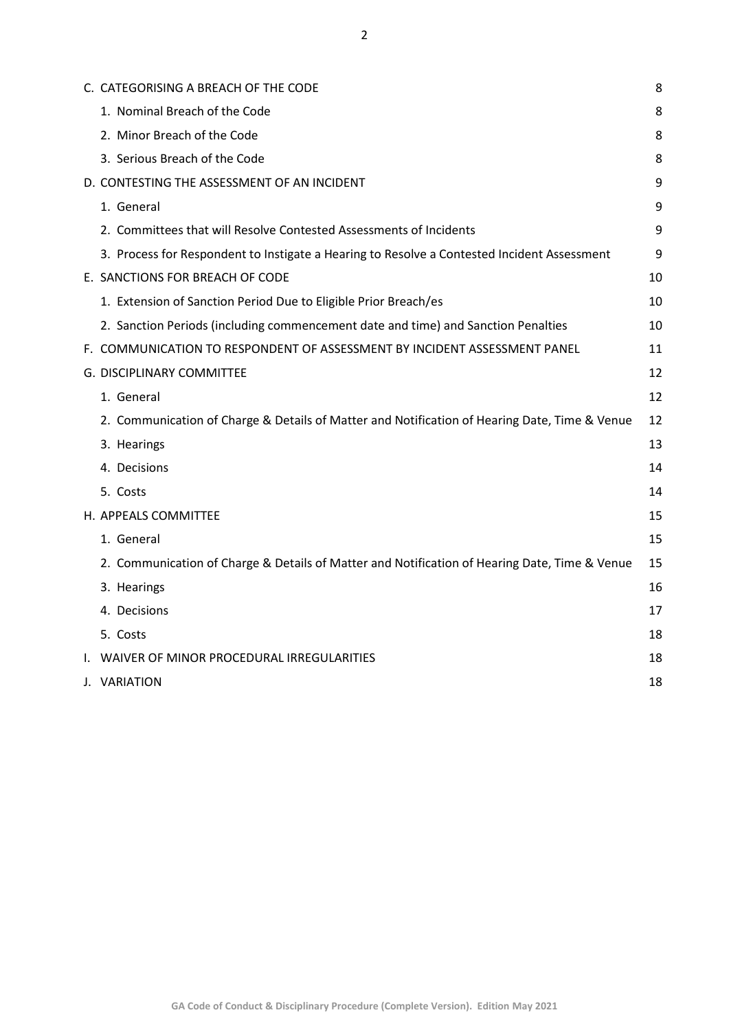| C. CATEGORISING A BREACH OF THE CODE                                                          | 8  |
|-----------------------------------------------------------------------------------------------|----|
| 1. Nominal Breach of the Code                                                                 | 8  |
| 2. Minor Breach of the Code                                                                   | 8  |
| 3. Serious Breach of the Code                                                                 | 8  |
| D. CONTESTING THE ASSESSMENT OF AN INCIDENT                                                   | 9  |
| 1. General                                                                                    | 9  |
| 2. Committees that will Resolve Contested Assessments of Incidents                            | 9  |
| 3. Process for Respondent to Instigate a Hearing to Resolve a Contested Incident Assessment   | 9  |
| E. SANCTIONS FOR BREACH OF CODE                                                               | 10 |
| 1. Extension of Sanction Period Due to Eligible Prior Breach/es                               | 10 |
| 2. Sanction Periods (including commencement date and time) and Sanction Penalties             | 10 |
| F. COMMUNICATION TO RESPONDENT OF ASSESSMENT BY INCIDENT ASSESSMENT PANEL                     | 11 |
| G. DISCIPLINARY COMMITTEE                                                                     | 12 |
| 1. General                                                                                    | 12 |
| 2. Communication of Charge & Details of Matter and Notification of Hearing Date, Time & Venue | 12 |
| 3. Hearings                                                                                   | 13 |
| 4. Decisions                                                                                  | 14 |
| 5. Costs                                                                                      | 14 |
| H. APPEALS COMMITTEE                                                                          | 15 |
| 1. General                                                                                    | 15 |
| 2. Communication of Charge & Details of Matter and Notification of Hearing Date, Time & Venue | 15 |
| 3. Hearings                                                                                   | 16 |
| 4. Decisions                                                                                  | 17 |
| 5. Costs                                                                                      | 18 |
| WAIVER OF MINOR PROCEDURAL IRREGULARITIES                                                     | 18 |
| J. VARIATION                                                                                  | 18 |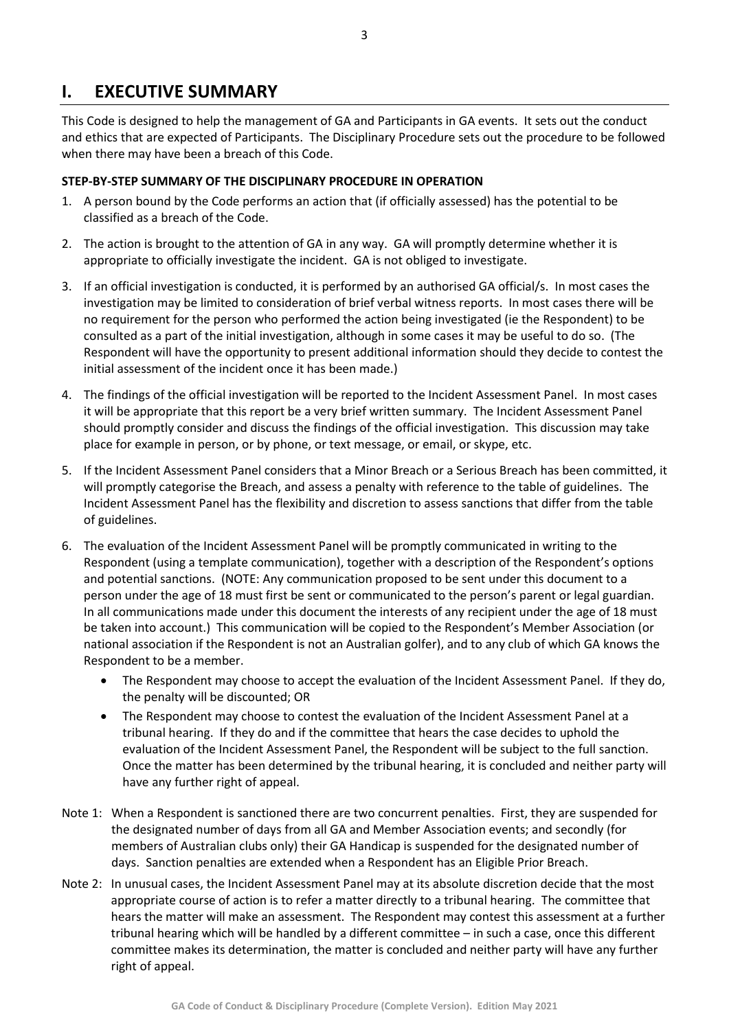## <span id="page-2-0"></span>**I. EXECUTIVE SUMMARY**

This Code is designed to help the management of GA and Participants in GA events. It sets out the conduct and ethics that are expected of Participants. The Disciplinary Procedure sets out the procedure to be followed when there may have been a breach of this Code.

#### **STEP-BY-STEP SUMMARY OF THE DISCIPLINARY PROCEDURE IN OPERATION**

- 1. A person bound by the Code performs an action that (if officially assessed) has the potential to be classified as a breach of the Code.
- 2. The action is brought to the attention of GA in any way. GA will promptly determine whether it is appropriate to officially investigate the incident. GA is not obliged to investigate.
- 3. If an official investigation is conducted, it is performed by an authorised GA official/s. In most cases the investigation may be limited to consideration of brief verbal witness reports. In most cases there will be no requirement for the person who performed the action being investigated (ie the Respondent) to be consulted as a part of the initial investigation, although in some cases it may be useful to do so. (The Respondent will have the opportunity to present additional information should they decide to contest the initial assessment of the incident once it has been made.)
- 4. The findings of the official investigation will be reported to the Incident Assessment Panel. In most cases it will be appropriate that this report be a very brief written summary. The Incident Assessment Panel should promptly consider and discuss the findings of the official investigation. This discussion may take place for example in person, or by phone, or text message, or email, or skype, etc.
- 5. If the Incident Assessment Panel considers that a Minor Breach or a Serious Breach has been committed, it will promptly categorise the Breach, and assess a penalty with reference to the table of guidelines. The Incident Assessment Panel has the flexibility and discretion to assess sanctions that differ from the table of guidelines.
- 6. The evaluation of the Incident Assessment Panel will be promptly communicated in writing to the Respondent (using a template communication), together with a description of the Respondent's options and potential sanctions. (NOTE: Any communication proposed to be sent under this document to a person under the age of 18 must first be sent or communicated to the person's parent or legal guardian. In all communications made under this document the interests of any recipient under the age of 18 must be taken into account.) This communication will be copied to the Respondent's Member Association (or national association if the Respondent is not an Australian golfer), and to any club of which GA knows the Respondent to be a member.
	- The Respondent may choose to accept the evaluation of the Incident Assessment Panel. If they do, the penalty will be discounted; OR
	- The Respondent may choose to contest the evaluation of the Incident Assessment Panel at a tribunal hearing. If they do and if the committee that hears the case decides to uphold the evaluation of the Incident Assessment Panel, the Respondent will be subject to the full sanction. Once the matter has been determined by the tribunal hearing, it is concluded and neither party will have any further right of appeal.
- Note 1: When a Respondent is sanctioned there are two concurrent penalties. First, they are suspended for the designated number of days from all GA and Member Association events; and secondly (for members of Australian clubs only) their GA Handicap is suspended for the designated number of days. Sanction penalties are extended when a Respondent has an Eligible Prior Breach.
- Note 2: In unusual cases, the Incident Assessment Panel may at its absolute discretion decide that the most appropriate course of action is to refer a matter directly to a tribunal hearing. The committee that hears the matter will make an assessment. The Respondent may contest this assessment at a further tribunal hearing which will be handled by a different committee – in such a case, once this different committee makes its determination, the matter is concluded and neither party will have any further right of appeal.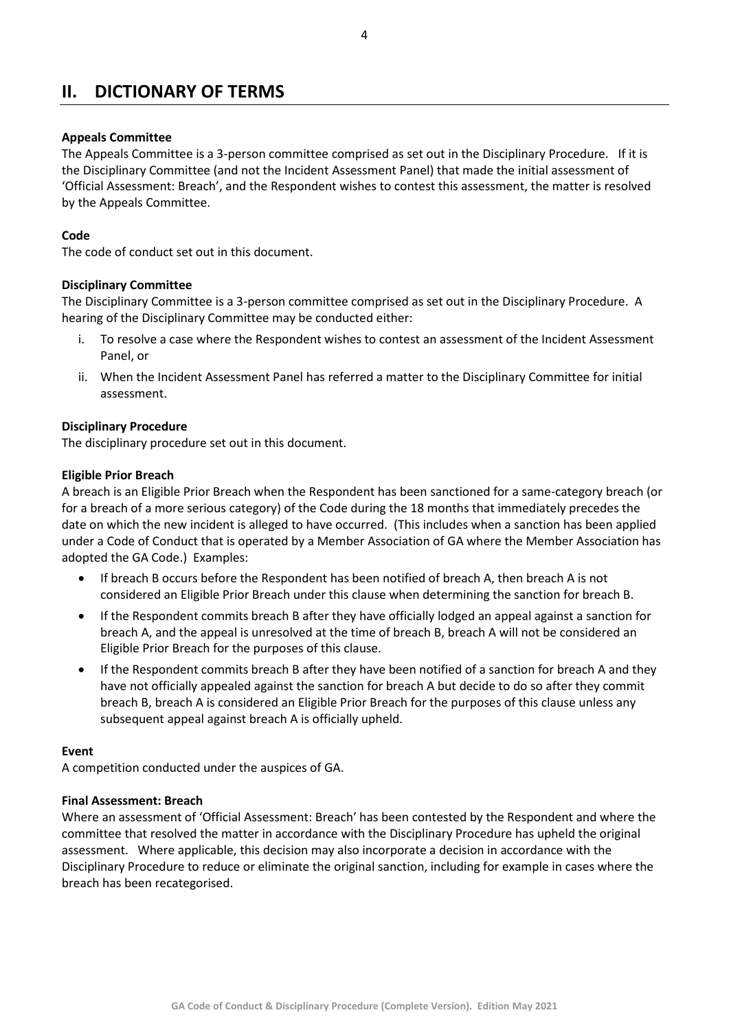# <span id="page-3-0"></span>**II. DICTIONARY OF TERMS**

#### **Appeals Committee**

The Appeals Committee is a 3-person committee comprised as set out in the Disciplinary Procedure. If it is the Disciplinary Committee (and not the Incident Assessment Panel) that made the initial assessment of 'Official Assessment: Breach', and the Respondent wishes to contest this assessment, the matter is resolved by the Appeals Committee.

#### **Code**

The code of conduct set out in this document.

#### **Disciplinary Committee**

The Disciplinary Committee is a 3-person committee comprised as set out in the Disciplinary Procedure. A hearing of the Disciplinary Committee may be conducted either:

- i. To resolve a case where the Respondent wishes to contest an assessment of the Incident Assessment Panel, or
- ii. When the Incident Assessment Panel has referred a matter to the Disciplinary Committee for initial assessment.

#### **Disciplinary Procedure**

The disciplinary procedure set out in this document.

#### **Eligible Prior Breach**

A breach is an Eligible Prior Breach when the Respondent has been sanctioned for a same-category breach (or for a breach of a more serious category) of the Code during the 18 months that immediately precedes the date on which the new incident is alleged to have occurred. (This includes when a sanction has been applied under a Code of Conduct that is operated by a Member Association of GA where the Member Association has adopted the GA Code.) Examples:

- If breach B occurs before the Respondent has been notified of breach A, then breach A is not considered an Eligible Prior Breach under this clause when determining the sanction for breach B.
- If the Respondent commits breach B after they have officially lodged an appeal against a sanction for breach A, and the appeal is unresolved at the time of breach B, breach A will not be considered an Eligible Prior Breach for the purposes of this clause.
- If the Respondent commits breach B after they have been notified of a sanction for breach A and they have not officially appealed against the sanction for breach A but decide to do so after they commit breach B, breach A is considered an Eligible Prior Breach for the purposes of this clause unless any subsequent appeal against breach A is officially upheld.

#### **Event**

A competition conducted under the auspices of GA.

#### **Final Assessment: Breach**

Where an assessment of 'Official Assessment: Breach' has been contested by the Respondent and where the committee that resolved the matter in accordance with the Disciplinary Procedure has upheld the original assessment. Where applicable, this decision may also incorporate a decision in accordance with the Disciplinary Procedure to reduce or eliminate the original sanction, including for example in cases where the breach has been recategorised.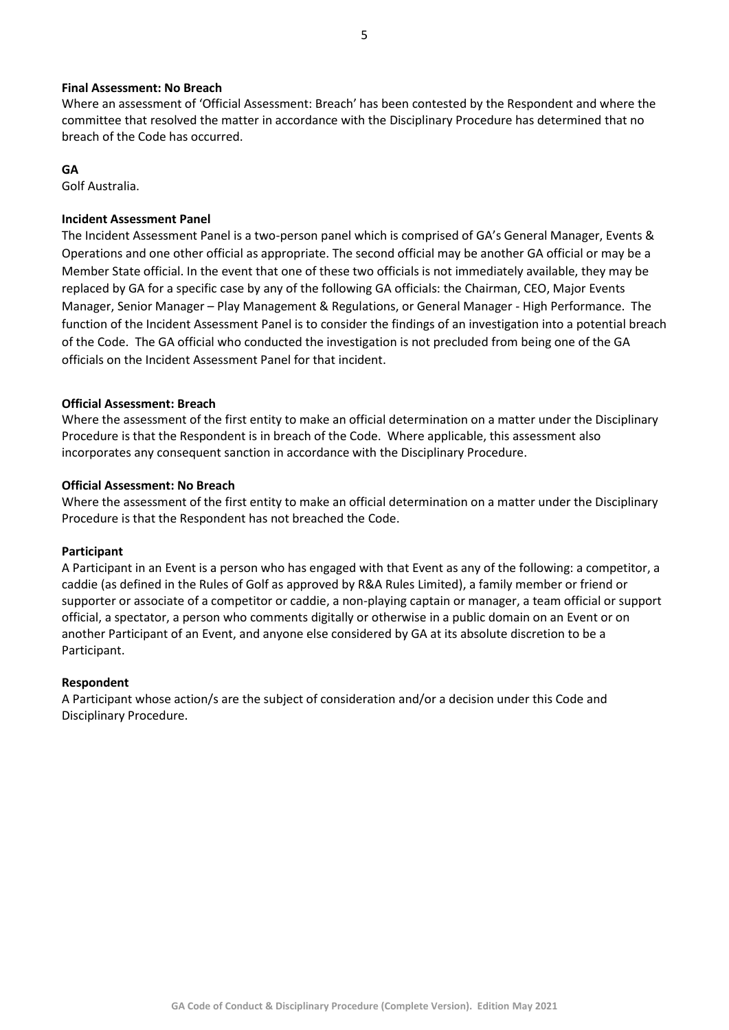#### **Final Assessment: No Breach**

Where an assessment of 'Official Assessment: Breach' has been contested by the Respondent and where the committee that resolved the matter in accordance with the Disciplinary Procedure has determined that no breach of the Code has occurred.

#### **GA**

Golf Australia.

#### **Incident Assessment Panel**

The Incident Assessment Panel is a two-person panel which is comprised of GA's General Manager, Events & Operations and one other official as appropriate. The second official may be another GA official or may be a Member State official. In the event that one of these two officials is not immediately available, they may be replaced by GA for a specific case by any of the following GA officials: the Chairman, CEO, Major Events Manager, Senior Manager – Play Management & Regulations, or General Manager - High Performance. The function of the Incident Assessment Panel is to consider the findings of an investigation into a potential breach of the Code. The GA official who conducted the investigation is not precluded from being one of the GA officials on the Incident Assessment Panel for that incident.

#### **Official Assessment: Breach**

Where the assessment of the first entity to make an official determination on a matter under the Disciplinary Procedure is that the Respondent is in breach of the Code. Where applicable, this assessment also incorporates any consequent sanction in accordance with the Disciplinary Procedure.

#### **Official Assessment: No Breach**

Where the assessment of the first entity to make an official determination on a matter under the Disciplinary Procedure is that the Respondent has not breached the Code.

#### **Participant**

A Participant in an Event is a person who has engaged with that Event as any of the following: a competitor, a caddie (as defined in the Rules of Golf as approved by R&A Rules Limited), a family member or friend or supporter or associate of a competitor or caddie, a non-playing captain or manager, a team official or support official, a spectator, a person who comments digitally or otherwise in a public domain on an Event or on another Participant of an Event, and anyone else considered by GA at its absolute discretion to be a Participant.

#### **Respondent**

A Participant whose action/s are the subject of consideration and/or a decision under this Code and Disciplinary Procedure.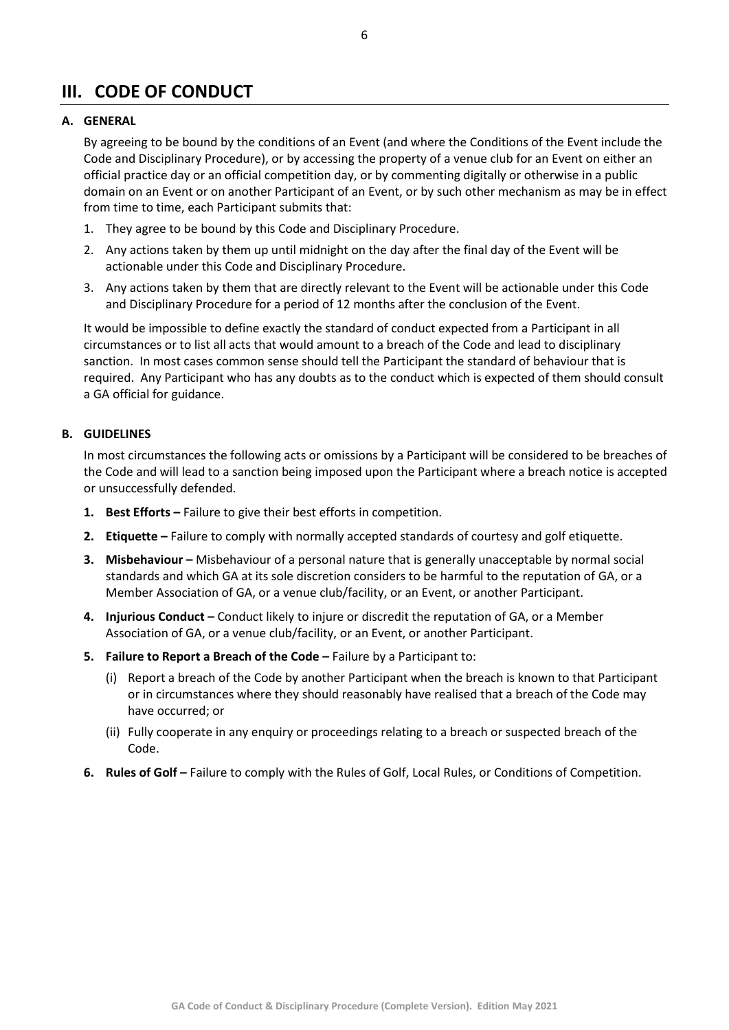# <span id="page-5-0"></span>**III. CODE OF CONDUCT**

#### <span id="page-5-1"></span>**A. GENERAL**

By agreeing to be bound by the conditions of an Event (and where the Conditions of the Event include the Code and Disciplinary Procedure), or by accessing the property of a venue club for an Event on either an official practice day or an official competition day, or by commenting digitally or otherwise in a public domain on an Event or on another Participant of an Event, or by such other mechanism as may be in effect from time to time, each Participant submits that:

- 1. They agree to be bound by this Code and Disciplinary Procedure.
- 2. Any actions taken by them up until midnight on the day after the final day of the Event will be actionable under this Code and Disciplinary Procedure.
- 3. Any actions taken by them that are directly relevant to the Event will be actionable under this Code and Disciplinary Procedure for a period of 12 months after the conclusion of the Event.

It would be impossible to define exactly the standard of conduct expected from a Participant in all circumstances or to list all acts that would amount to a breach of the Code and lead to disciplinary sanction. In most cases common sense should tell the Participant the standard of behaviour that is required. Any Participant who has any doubts as to the conduct which is expected of them should consult a GA official for guidance.

#### <span id="page-5-2"></span>**B. GUIDELINES**

In most circumstances the following acts or omissions by a Participant will be considered to be breaches of the Code and will lead to a sanction being imposed upon the Participant where a breach notice is accepted or unsuccessfully defended.

- <span id="page-5-3"></span>**1. Best Efforts –** Failure to give their best efforts in competition.
- <span id="page-5-4"></span>**2. Etiquette –** Failure to comply with normally accepted standards of courtesy and golf etiquette.
- <span id="page-5-5"></span>**3. Misbehaviour –** Misbehaviour of a personal nature that is generally unacceptable by normal social standards and which GA at its sole discretion considers to be harmful to the reputation of GA, or a Member Association of GA, or a venue club/facility, or an Event, or another Participant.
- <span id="page-5-6"></span>**4. Injurious Conduct –** Conduct likely to injure or discredit the reputation of GA, or a Member Association of GA, or a venue club/facility, or an Event, or another Participant.
- <span id="page-5-7"></span>**5. Failure to Report a Breach of the Code –** Failure by a Participant to:
	- (i) Report a breach of the Code by another Participant when the breach is known to that Participant or in circumstances where they should reasonably have realised that a breach of the Code may have occurred; or
	- (ii) Fully cooperate in any enquiry or proceedings relating to a breach or suspected breach of the Code.
- <span id="page-5-8"></span>**6. Rules of Golf –** Failure to comply with the Rules of Golf, Local Rules, or Conditions of Competition.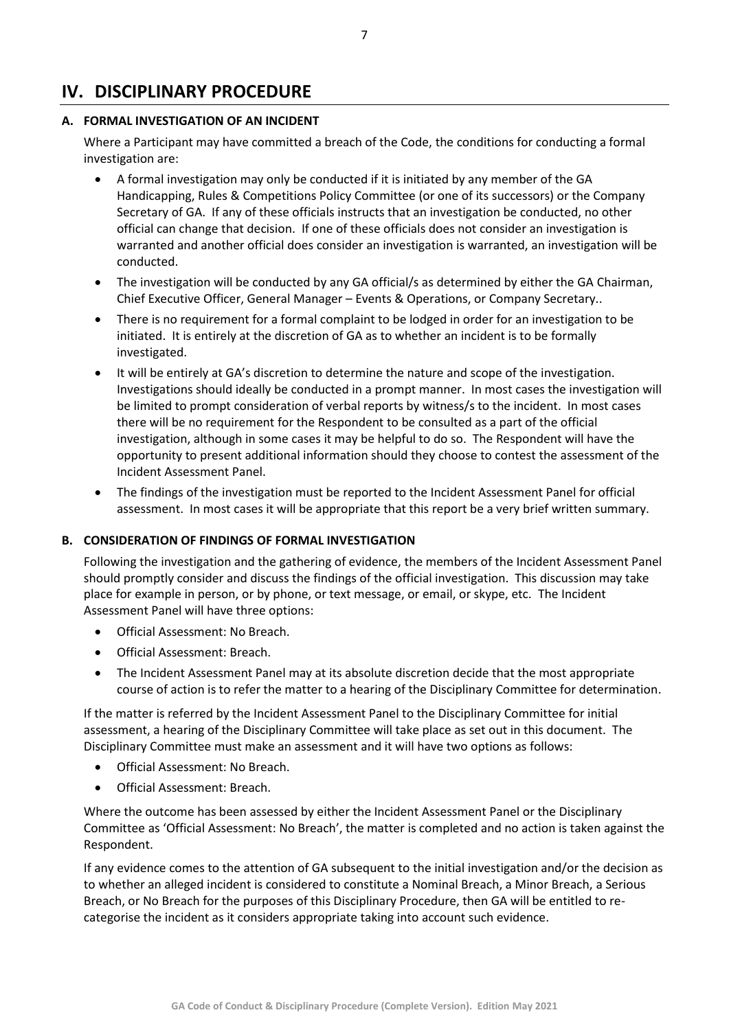## <span id="page-6-0"></span>**IV. DISCIPLINARY PROCEDURE**

#### <span id="page-6-1"></span>**A. FORMAL INVESTIGATION OF AN INCIDENT**

Where a Participant may have committed a breach of the Code, the conditions for conducting a formal investigation are:

- A formal investigation may only be conducted if it is initiated by any member of the GA Handicapping, Rules & Competitions Policy Committee (or one of its successors) or the Company Secretary of GA. If any of these officials instructs that an investigation be conducted, no other official can change that decision. If one of these officials does not consider an investigation is warranted and another official does consider an investigation is warranted, an investigation will be conducted.
- The investigation will be conducted by any GA official/s as determined by either the GA Chairman, Chief Executive Officer, General Manager – Events & Operations, or Company Secretary..
- There is no requirement for a formal complaint to be lodged in order for an investigation to be initiated. It is entirely at the discretion of GA as to whether an incident is to be formally investigated.
- It will be entirely at GA's discretion to determine the nature and scope of the investigation. Investigations should ideally be conducted in a prompt manner. In most cases the investigation will be limited to prompt consideration of verbal reports by witness/s to the incident. In most cases there will be no requirement for the Respondent to be consulted as a part of the official investigation, although in some cases it may be helpful to do so. The Respondent will have the opportunity to present additional information should they choose to contest the assessment of the Incident Assessment Panel.
- The findings of the investigation must be reported to the Incident Assessment Panel for official assessment. In most cases it will be appropriate that this report be a very brief written summary.

#### <span id="page-6-2"></span>**B. CONSIDERATION OF FINDINGS OF FORMAL INVESTIGATION**

Following the investigation and the gathering of evidence, the members of the Incident Assessment Panel should promptly consider and discuss the findings of the official investigation. This discussion may take place for example in person, or by phone, or text message, or email, or skype, etc. The Incident Assessment Panel will have three options:

- Official Assessment: No Breach.
- Official Assessment: Breach.
- The Incident Assessment Panel may at its absolute discretion decide that the most appropriate course of action is to refer the matter to a hearing of the Disciplinary Committee for determination.

If the matter is referred by the Incident Assessment Panel to the Disciplinary Committee for initial assessment, a hearing of the Disciplinary Committee will take place as set out in this document. The Disciplinary Committee must make an assessment and it will have two options as follows:

- Official Assessment: No Breach.
- Official Assessment: Breach.

Where the outcome has been assessed by either the Incident Assessment Panel or the Disciplinary Committee as 'Official Assessment: No Breach', the matter is completed and no action is taken against the Respondent.

If any evidence comes to the attention of GA subsequent to the initial investigation and/or the decision as to whether an alleged incident is considered to constitute a Nominal Breach, a Minor Breach, a Serious Breach, or No Breach for the purposes of this Disciplinary Procedure, then GA will be entitled to recategorise the incident as it considers appropriate taking into account such evidence.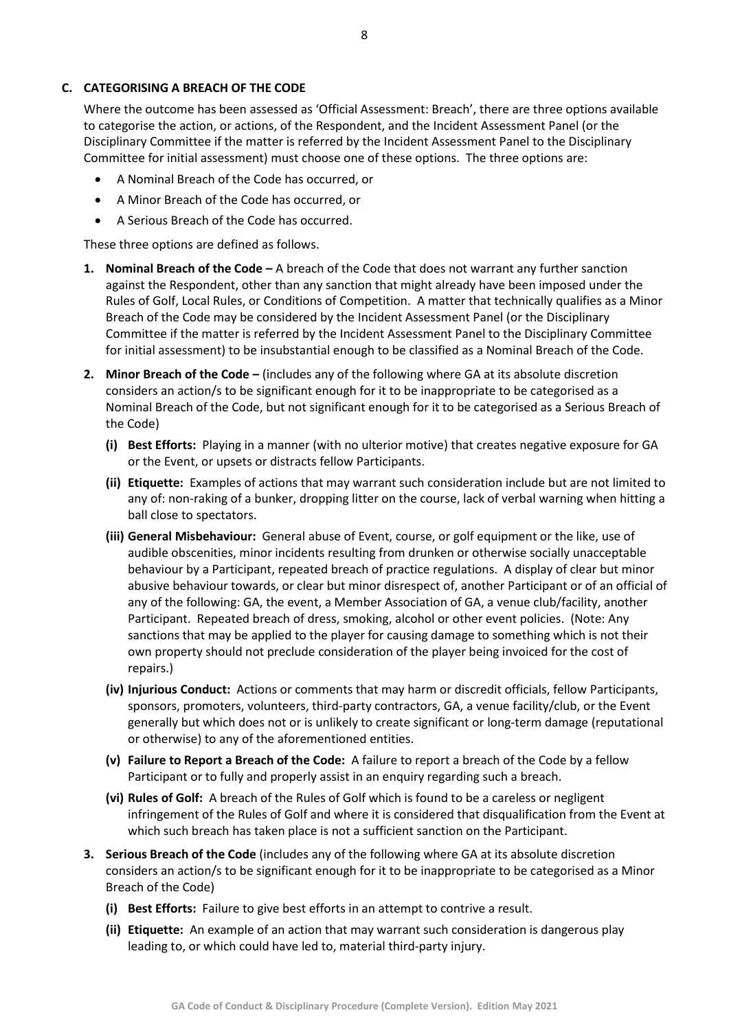#### <span id="page-7-0"></span>**C. CATEGORISING A BREACH OF THE CODE**

Where the outcome has been assessed as 'Official Assessment: Breach', there are three options available to categorise the action, or actions, of the Respondent, and the Incident Assessment Panel (or the Disciplinary Committee if the matter is referred by the Incident Assessment Panel to the Disciplinary Committee for initial assessment) must choose one of these options. The three options are:

- A Nominal Breach of the Code has occurred, or
- A Minor Breach of the Code has occurred, or
- A Serious Breach of the Code has occurred.

These three options are defined as follows.

- <span id="page-7-1"></span>**1. Nominal Breach of the Code –** A breach of the Code that does not warrant any further sanction against the Respondent, other than any sanction that might already have been imposed under the Rules of Golf, Local Rules, or Conditions of Competition. A matter that technically qualifies as a Minor Breach of the Code may be considered by the Incident Assessment Panel (or the Disciplinary Committee if the matter is referred by the Incident Assessment Panel to the Disciplinary Committee for initial assessment) to be insubstantial enough to be classified as a Nominal Breach of the Code.
- <span id="page-7-2"></span>**2. Minor Breach of the Code –** (includes any of the following where GA at its absolute discretion considers an action/s to be significant enough for it to be inappropriate to be categorised as a Nominal Breach of the Code, but not significant enough for it to be categorised as a Serious Breach of the Code)
	- **(i) Best Efforts:** Playing in a manner (with no ulterior motive) that creates negative exposure for GA or the Event, or upsets or distracts fellow Participants.
	- **(ii) Etiquette:** Examples of actions that may warrant such consideration include but are not limited to any of: non-raking of a bunker, dropping litter on the course, lack of verbal warning when hitting a ball close to spectators.
	- **(iii) General Misbehaviour:** General abuse of Event, course, or golf equipment or the like, use of audible obscenities, minor incidents resulting from drunken or otherwise socially unacceptable behaviour by a Participant, repeated breach of practice regulations. A display of clear but minor abusive behaviour towards, or clear but minor disrespect of, another Participant or of an official of any of the following: GA, the event, a Member Association of GA, a venue club/facility, another Participant. Repeated breach of dress, smoking, alcohol or other event policies. (Note: Any sanctions that may be applied to the player for causing damage to something which is not their own property should not preclude consideration of the player being invoiced for the cost of repairs.)
	- **(iv) Injurious Conduct:** Actions or comments that may harm or discredit officials, fellow Participants, sponsors, promoters, volunteers, third-party contractors, GA, a venue facility/club, or the Event generally but which does not or is unlikely to create significant or long-term damage (reputational or otherwise) to any of the aforementioned entities.
	- **(v) Failure to Report a Breach of the Code:** A failure to report a breach of the Code by a fellow Participant or to fully and properly assist in an enquiry regarding such a breach.
	- **(vi) Rules of Golf:** A breach of the Rules of Golf which is found to be a careless or negligent infringement of the Rules of Golf and where it is considered that disqualification from the Event at which such breach has taken place is not a sufficient sanction on the Participant.
- <span id="page-7-3"></span>**3. Serious Breach of the Code** (includes any of the following where GA at its absolute discretion considers an action/s to be significant enough for it to be inappropriate to be categorised as a Minor Breach of the Code)
	- **(i) Best Efforts:** Failure to give best efforts in an attempt to contrive a result.
	- **(ii) Etiquette:** An example of an action that may warrant such consideration is dangerous play leading to, or which could have led to, material third-party injury.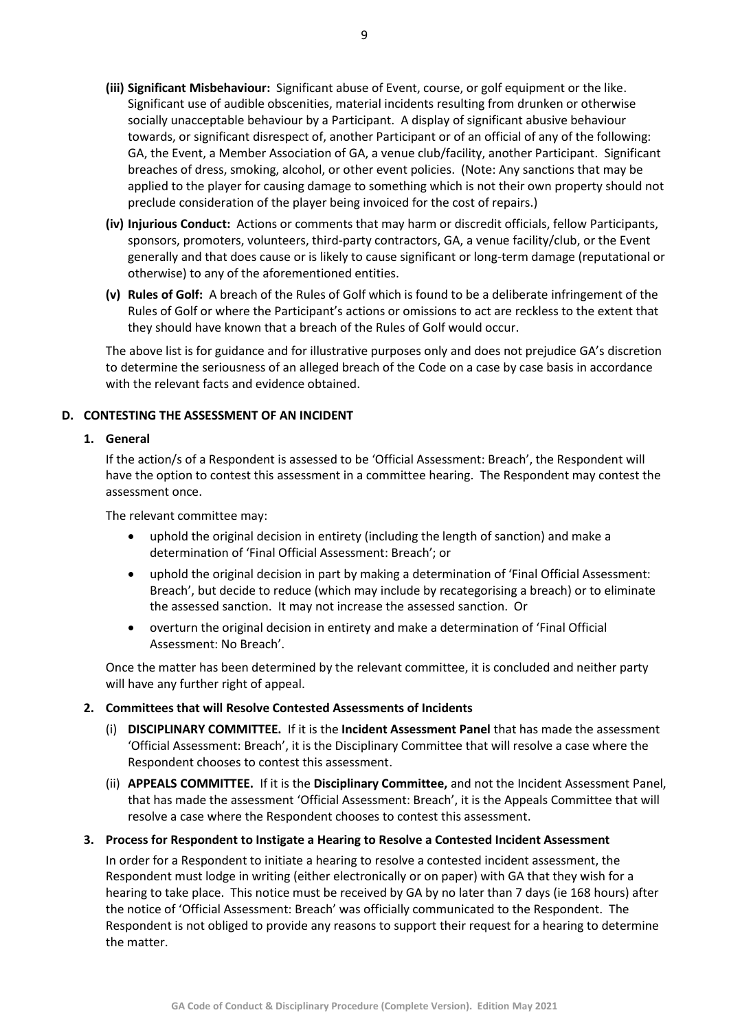- **(iii) Significant Misbehaviour:** Significant abuse of Event, course, or golf equipment or the like. Significant use of audible obscenities, material incidents resulting from drunken or otherwise socially unacceptable behaviour by a Participant. A display of significant abusive behaviour towards, or significant disrespect of, another Participant or of an official of any of the following: GA, the Event, a Member Association of GA, a venue club/facility, another Participant. Significant breaches of dress, smoking, alcohol, or other event policies. (Note: Any sanctions that may be applied to the player for causing damage to something which is not their own property should not preclude consideration of the player being invoiced for the cost of repairs.)
- **(iv) Injurious Conduct:** Actions or comments that may harm or discredit officials, fellow Participants, sponsors, promoters, volunteers, third-party contractors, GA, a venue facility/club, or the Event generally and that does cause or is likely to cause significant or long-term damage (reputational or otherwise) to any of the aforementioned entities.
- **(v) Rules of Golf:** A breach of the Rules of Golf which is found to be a deliberate infringement of the Rules of Golf or where the Participant's actions or omissions to act are reckless to the extent that they should have known that a breach of the Rules of Golf would occur.

The above list is for guidance and for illustrative purposes only and does not prejudice GA's discretion to determine the seriousness of an alleged breach of the Code on a case by case basis in accordance with the relevant facts and evidence obtained.

#### <span id="page-8-1"></span><span id="page-8-0"></span>**D. CONTESTING THE ASSESSMENT OF AN INCIDENT**

#### **1. General**

If the action/s of a Respondent is assessed to be 'Official Assessment: Breach', the Respondent will have the option to contest this assessment in a committee hearing. The Respondent may contest the assessment once.

The relevant committee may:

- uphold the original decision in entirety (including the length of sanction) and make a determination of 'Final Official Assessment: Breach'; or
- uphold the original decision in part by making a determination of 'Final Official Assessment: Breach', but decide to reduce (which may include by recategorising a breach) or to eliminate the assessed sanction. It may not increase the assessed sanction. Or
- overturn the original decision in entirety and make a determination of 'Final Official Assessment: No Breach'.

Once the matter has been determined by the relevant committee, it is concluded and neither party will have any further right of appeal.

#### <span id="page-8-2"></span>**2. Committees that will Resolve Contested Assessments of Incidents**

- (i) **DISCIPLINARY COMMITTEE.** If it is the **Incident Assessment Panel** that has made the assessment 'Official Assessment: Breach', it is the Disciplinary Committee that will resolve a case where the Respondent chooses to contest this assessment.
- (ii) **APPEALS COMMITTEE.** If it is the **Disciplinary Committee,** and not the Incident Assessment Panel, that has made the assessment 'Official Assessment: Breach', it is the Appeals Committee that will resolve a case where the Respondent chooses to contest this assessment.

#### <span id="page-8-3"></span>**3. Process for Respondent to Instigate a Hearing to Resolve a Contested Incident Assessment**

In order for a Respondent to initiate a hearing to resolve a contested incident assessment, the Respondent must lodge in writing (either electronically or on paper) with GA that they wish for a hearing to take place. This notice must be received by GA by no later than 7 days (ie 168 hours) after the notice of 'Official Assessment: Breach' was officially communicated to the Respondent. The Respondent is not obliged to provide any reasons to support their request for a hearing to determine the matter.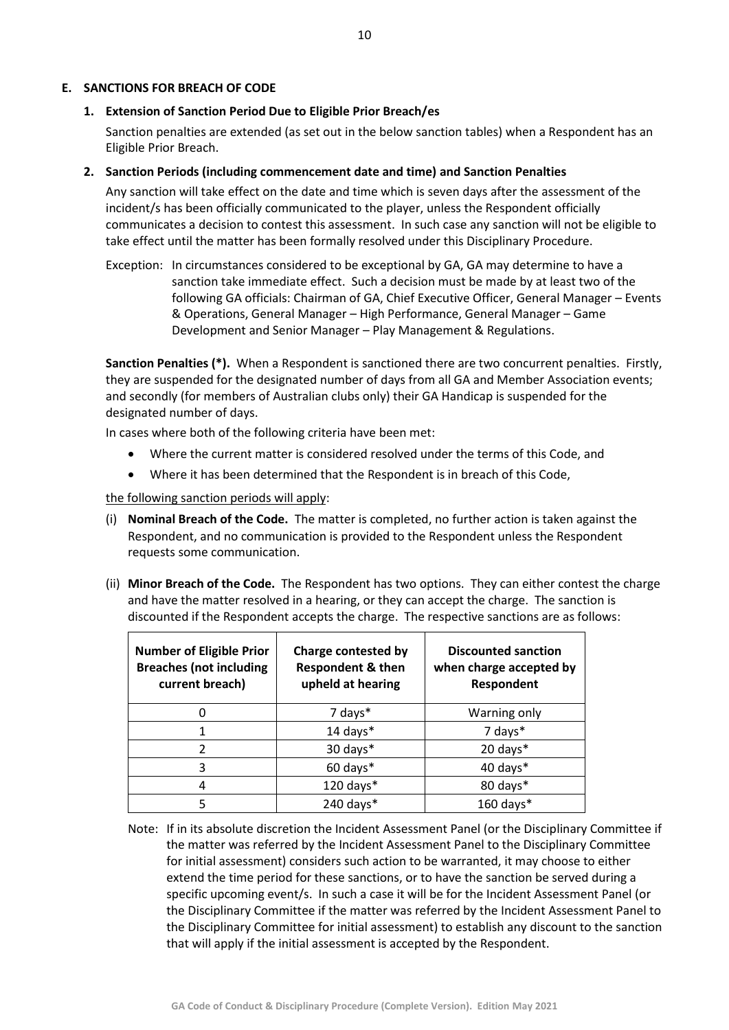#### <span id="page-9-1"></span><span id="page-9-0"></span>**E. SANCTIONS FOR BREACH OF CODE**

#### **1. Extension of Sanction Period Due to Eligible Prior Breach/es**

Sanction penalties are extended (as set out in the below sanction tables) when a Respondent has an Eligible Prior Breach.

#### <span id="page-9-2"></span>**2. Sanction Periods (including commencement date and time) and Sanction Penalties**

Any sanction will take effect on the date and time which is seven days after the assessment of the incident/s has been officially communicated to the player, unless the Respondent officially communicates a decision to contest this assessment. In such case any sanction will not be eligible to take effect until the matter has been formally resolved under this Disciplinary Procedure.

Exception: In circumstances considered to be exceptional by GA, GA may determine to have a sanction take immediate effect. Such a decision must be made by at least two of the following GA officials: Chairman of GA, Chief Executive Officer, General Manager – Events & Operations, General Manager – High Performance, General Manager – Game Development and Senior Manager – Play Management & Regulations.

**Sanction Penalties (\*).** When a Respondent is sanctioned there are two concurrent penalties. Firstly, they are suspended for the designated number of days from all GA and Member Association events; and secondly (for members of Australian clubs only) their GA Handicap is suspended for the designated number of days.

In cases where both of the following criteria have been met:

- Where the current matter is considered resolved under the terms of this Code, and
- Where it has been determined that the Respondent is in breach of this Code,

the following sanction periods will apply:

- (i) **Nominal Breach of the Code.** The matter is completed, no further action is taken against the Respondent, and no communication is provided to the Respondent unless the Respondent requests some communication.
- (ii) **Minor Breach of the Code.** The Respondent has two options. They can either contest the charge and have the matter resolved in a hearing, or they can accept the charge. The sanction is discounted if the Respondent accepts the charge. The respective sanctions are as follows:

| <b>Number of Eligible Prior</b><br><b>Breaches (not including</b><br>current breach) | <b>Charge contested by</b><br><b>Respondent &amp; then</b><br>upheld at hearing | <b>Discounted sanction</b><br>when charge accepted by<br>Respondent |
|--------------------------------------------------------------------------------------|---------------------------------------------------------------------------------|---------------------------------------------------------------------|
|                                                                                      | 7 days*                                                                         | Warning only                                                        |
|                                                                                      | $14$ days*                                                                      | 7 days*                                                             |
| $\mathfrak{p}$                                                                       | 30 days*                                                                        | 20 days*                                                            |
| 3                                                                                    | 60 days*                                                                        | 40 days*                                                            |
| 4                                                                                    | 120 days*                                                                       | 80 days*                                                            |
|                                                                                      | 240 days $*$                                                                    | $160$ days*                                                         |

Note: If in its absolute discretion the Incident Assessment Panel (or the Disciplinary Committee if the matter was referred by the Incident Assessment Panel to the Disciplinary Committee for initial assessment) considers such action to be warranted, it may choose to either extend the time period for these sanctions, or to have the sanction be served during a specific upcoming event/s. In such a case it will be for the Incident Assessment Panel (or the Disciplinary Committee if the matter was referred by the Incident Assessment Panel to the Disciplinary Committee for initial assessment) to establish any discount to the sanction that will apply if the initial assessment is accepted by the Respondent.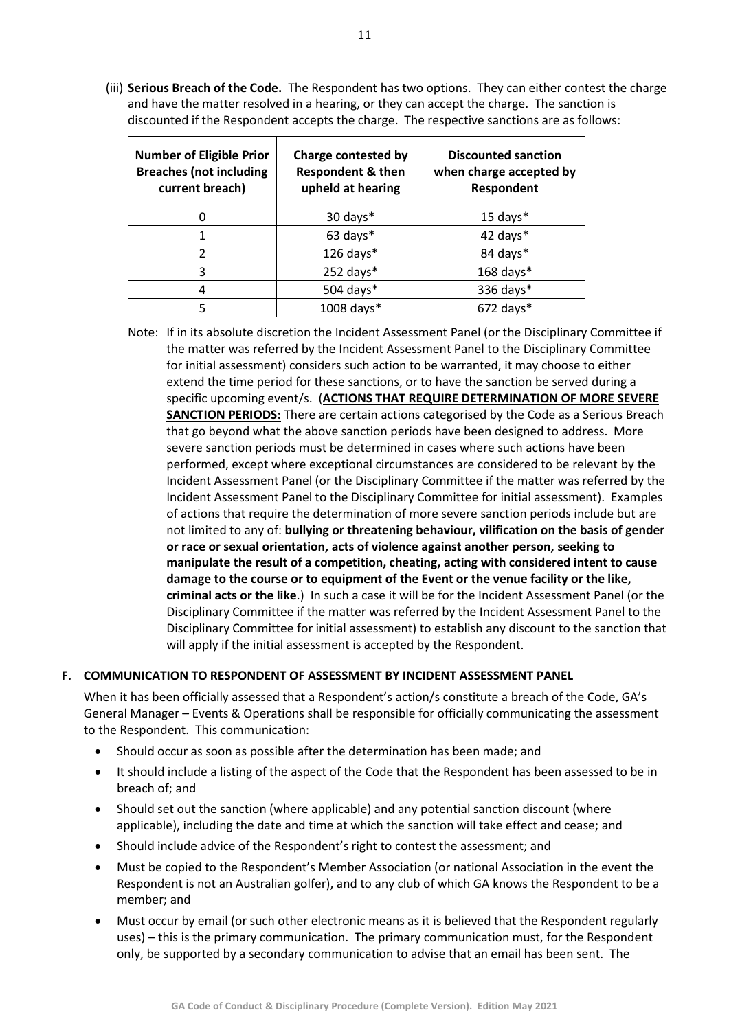(iii) **Serious Breach of the Code.** The Respondent has two options. They can either contest the charge and have the matter resolved in a hearing, or they can accept the charge. The sanction is discounted if the Respondent accepts the charge. The respective sanctions are as follows:

| <b>Number of Eligible Prior</b><br><b>Breaches (not including</b><br>current breach) | <b>Charge contested by</b><br><b>Respondent &amp; then</b><br>upheld at hearing | <b>Discounted sanction</b><br>when charge accepted by<br>Respondent |
|--------------------------------------------------------------------------------------|---------------------------------------------------------------------------------|---------------------------------------------------------------------|
| O                                                                                    | 30 days*                                                                        | $15$ days $*$                                                       |
|                                                                                      | 63 days*                                                                        | 42 days*                                                            |
| 2                                                                                    | 126 days*                                                                       | 84 days*                                                            |
| 3                                                                                    | $252$ days*                                                                     | $168$ days*                                                         |
| 4                                                                                    | 504 days*                                                                       | 336 days*                                                           |
| 5                                                                                    | 1008 days*                                                                      | $672$ days*                                                         |

Note: If in its absolute discretion the Incident Assessment Panel (or the Disciplinary Committee if the matter was referred by the Incident Assessment Panel to the Disciplinary Committee for initial assessment) considers such action to be warranted, it may choose to either extend the time period for these sanctions, or to have the sanction be served during a specific upcoming event/s. (**ACTIONS THAT REQUIRE DETERMINATION OF MORE SEVERE SANCTION PERIODS:** There are certain actions categorised by the Code as a Serious Breach that go beyond what the above sanction periods have been designed to address. More severe sanction periods must be determined in cases where such actions have been performed, except where exceptional circumstances are considered to be relevant by the Incident Assessment Panel (or the Disciplinary Committee if the matter was referred by the Incident Assessment Panel to the Disciplinary Committee for initial assessment). Examples of actions that require the determination of more severe sanction periods include but are not limited to any of: **bullying or threatening behaviour, vilification on the basis of gender or race or sexual orientation, acts of violence against another person, seeking to manipulate the result of a competition, cheating, acting with considered intent to cause damage to the course or to equipment of the Event or the venue facility or the like, criminal acts or the like**.) In such a case it will be for the Incident Assessment Panel (or the Disciplinary Committee if the matter was referred by the Incident Assessment Panel to the Disciplinary Committee for initial assessment) to establish any discount to the sanction that will apply if the initial assessment is accepted by the Respondent.

#### <span id="page-10-0"></span>**F. COMMUNICATION TO RESPONDENT OF ASSESSMENT BY INCIDENT ASSESSMENT PANEL**

When it has been officially assessed that a Respondent's action/s constitute a breach of the Code, GA's General Manager – Events & Operations shall be responsible for officially communicating the assessment to the Respondent. This communication:

- Should occur as soon as possible after the determination has been made; and
- It should include a listing of the aspect of the Code that the Respondent has been assessed to be in breach of; and
- Should set out the sanction (where applicable) and any potential sanction discount (where applicable), including the date and time at which the sanction will take effect and cease; and
- Should include advice of the Respondent's right to contest the assessment; and
- Must be copied to the Respondent's Member Association (or national Association in the event the Respondent is not an Australian golfer), and to any club of which GA knows the Respondent to be a member; and
- Must occur by email (or such other electronic means as it is believed that the Respondent regularly uses) – this is the primary communication. The primary communication must, for the Respondent only, be supported by a secondary communication to advise that an email has been sent. The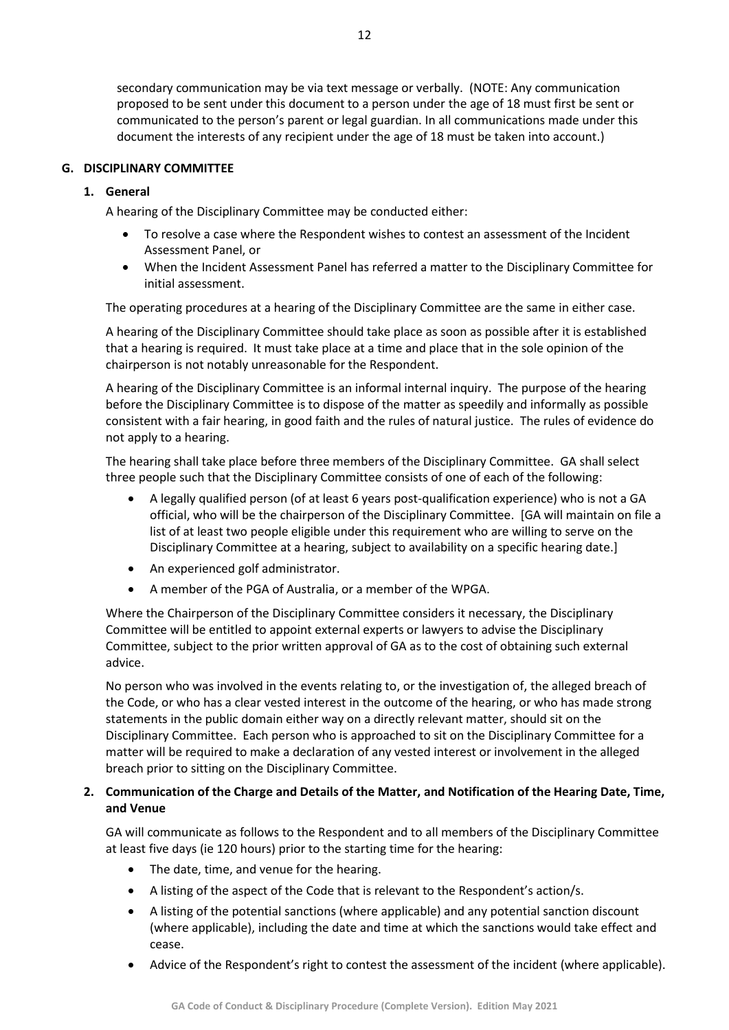secondary communication may be via text message or verbally. (NOTE: Any communication proposed to be sent under this document to a person under the age of 18 must first be sent or communicated to the person's parent or legal guardian. In all communications made under this document the interests of any recipient under the age of 18 must be taken into account.)

#### <span id="page-11-1"></span><span id="page-11-0"></span>**G. DISCIPLINARY COMMITTEE**

#### **1. General**

A hearing of the Disciplinary Committee may be conducted either:

- To resolve a case where the Respondent wishes to contest an assessment of the Incident Assessment Panel, or
- When the Incident Assessment Panel has referred a matter to the Disciplinary Committee for initial assessment.

The operating procedures at a hearing of the Disciplinary Committee are the same in either case.

A hearing of the Disciplinary Committee should take place as soon as possible after it is established that a hearing is required. It must take place at a time and place that in the sole opinion of the chairperson is not notably unreasonable for the Respondent.

A hearing of the Disciplinary Committee is an informal internal inquiry. The purpose of the hearing before the Disciplinary Committee is to dispose of the matter as speedily and informally as possible consistent with a fair hearing, in good faith and the rules of natural justice. The rules of evidence do not apply to a hearing.

The hearing shall take place before three members of the Disciplinary Committee. GA shall select three people such that the Disciplinary Committee consists of one of each of the following:

- A legally qualified person (of at least 6 years post-qualification experience) who is not a GA official, who will be the chairperson of the Disciplinary Committee. [GA will maintain on file a list of at least two people eligible under this requirement who are willing to serve on the Disciplinary Committee at a hearing, subject to availability on a specific hearing date.]
- An experienced golf administrator.
- A member of the PGA of Australia, or a member of the WPGA.

Where the Chairperson of the Disciplinary Committee considers it necessary, the Disciplinary Committee will be entitled to appoint external experts or lawyers to advise the Disciplinary Committee, subject to the prior written approval of GA as to the cost of obtaining such external advice.

No person who was involved in the events relating to, or the investigation of, the alleged breach of the Code, or who has a clear vested interest in the outcome of the hearing, or who has made strong statements in the public domain either way on a directly relevant matter, should sit on the Disciplinary Committee. Each person who is approached to sit on the Disciplinary Committee for a matter will be required to make a declaration of any vested interest or involvement in the alleged breach prior to sitting on the Disciplinary Committee.

#### <span id="page-11-2"></span>**2. Communication of the Charge and Details of the Matter, and Notification of the Hearing Date, Time, and Venue**

GA will communicate as follows to the Respondent and to all members of the Disciplinary Committee at least five days (ie 120 hours) prior to the starting time for the hearing:

- The date, time, and venue for the hearing.
- A listing of the aspect of the Code that is relevant to the Respondent's action/s.
- A listing of the potential sanctions (where applicable) and any potential sanction discount (where applicable), including the date and time at which the sanctions would take effect and cease.
- Advice of the Respondent's right to contest the assessment of the incident (where applicable).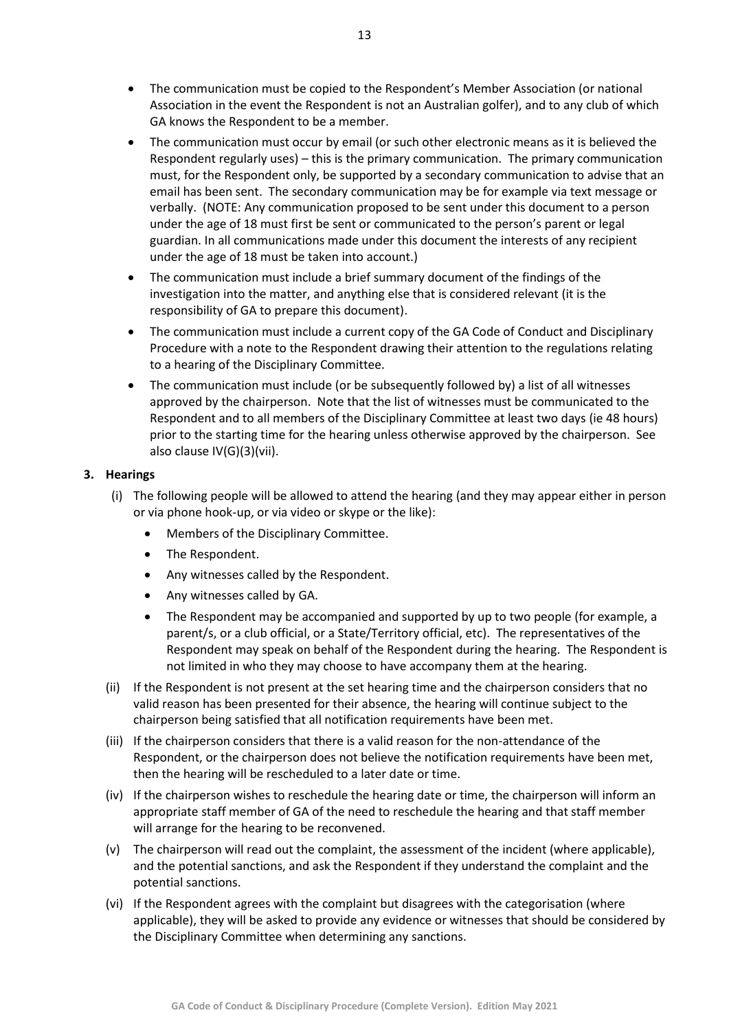- The communication must be copied to the Respondent's Member Association (or national Association in the event the Respondent is not an Australian golfer), and to any club of which GA knows the Respondent to be a member.
- The communication must occur by email (or such other electronic means as it is believed the Respondent regularly uses) – this is the primary communication. The primary communication must, for the Respondent only, be supported by a secondary communication to advise that an email has been sent. The secondary communication may be for example via text message or verbally. (NOTE: Any communication proposed to be sent under this document to a person under the age of 18 must first be sent or communicated to the person's parent or legal guardian. In all communications made under this document the interests of any recipient under the age of 18 must be taken into account.)
- The communication must include a brief summary document of the findings of the investigation into the matter, and anything else that is considered relevant (it is the responsibility of GA to prepare this document).
- The communication must include a current copy of the GA Code of Conduct and Disciplinary Procedure with a note to the Respondent drawing their attention to the regulations relating to a hearing of the Disciplinary Committee.
- The communication must include (or be subsequently followed by) a list of all witnesses approved by the chairperson. Note that the list of witnesses must be communicated to the Respondent and to all members of the Disciplinary Committee at least two days (ie 48 hours) prior to the starting time for the hearing unless otherwise approved by the chairperson. See also clause IV(G)(3)(vii).

#### <span id="page-12-0"></span>**3. Hearings**

- (i) The following people will be allowed to attend the hearing (and they may appear either in person or via phone hook-up, or via video or skype or the like):
	- Members of the Disciplinary Committee.
	- The Respondent.
	- Any witnesses called by the Respondent.
	- Any witnesses called by GA.
	- The Respondent may be accompanied and supported by up to two people (for example, a parent/s, or a club official, or a State/Territory official, etc). The representatives of the Respondent may speak on behalf of the Respondent during the hearing. The Respondent is not limited in who they may choose to have accompany them at the hearing.
- (ii) If the Respondent is not present at the set hearing time and the chairperson considers that no valid reason has been presented for their absence, the hearing will continue subject to the chairperson being satisfied that all notification requirements have been met.
- (iii) If the chairperson considers that there is a valid reason for the non-attendance of the Respondent, or the chairperson does not believe the notification requirements have been met, then the hearing will be rescheduled to a later date or time.
- (iv) If the chairperson wishes to reschedule the hearing date or time, the chairperson will inform an appropriate staff member of GA of the need to reschedule the hearing and that staff member will arrange for the hearing to be reconvened.
- (v) The chairperson will read out the complaint, the assessment of the incident (where applicable), and the potential sanctions, and ask the Respondent if they understand the complaint and the potential sanctions.
- (vi) If the Respondent agrees with the complaint but disagrees with the categorisation (where applicable), they will be asked to provide any evidence or witnesses that should be considered by the Disciplinary Committee when determining any sanctions.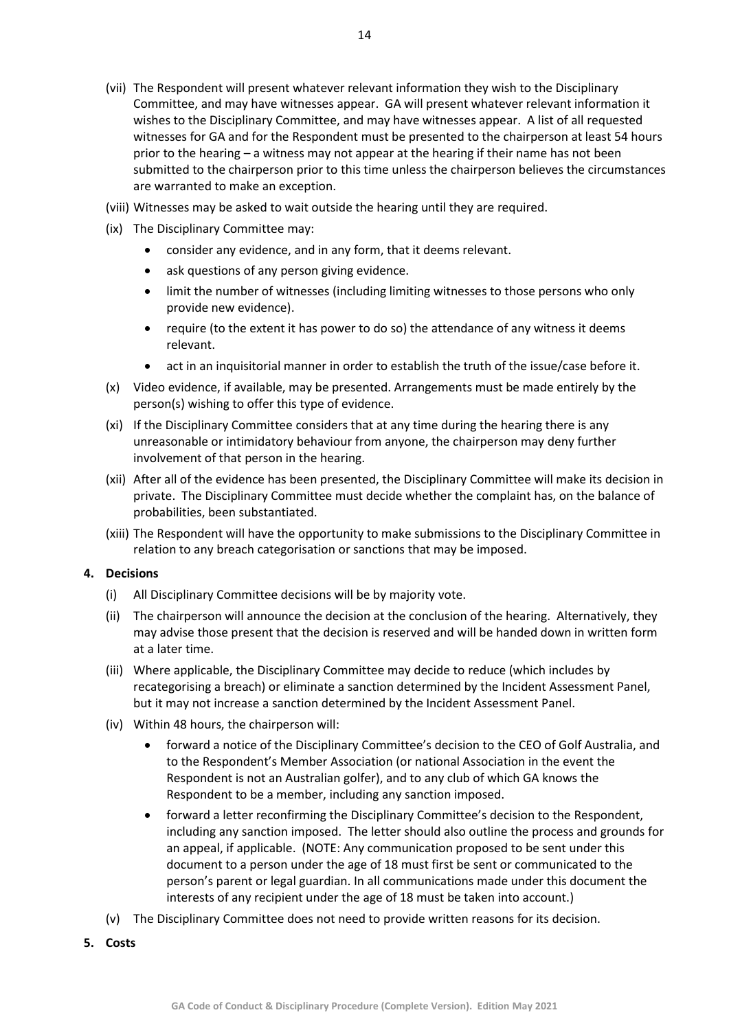- (viii) Witnesses may be asked to wait outside the hearing until they are required.
- (ix) The Disciplinary Committee may:
	- consider any evidence, and in any form, that it deems relevant.
	- ask questions of any person giving evidence.
	- limit the number of witnesses (including limiting witnesses to those persons who only provide new evidence).
	- require (to the extent it has power to do so) the attendance of any witness it deems relevant.
	- act in an inquisitorial manner in order to establish the truth of the issue/case before it.
- (x) Video evidence, if available, may be presented. Arrangements must be made entirely by the person(s) wishing to offer this type of evidence.
- (xi) If the Disciplinary Committee considers that at any time during the hearing there is any unreasonable or intimidatory behaviour from anyone, the chairperson may deny further involvement of that person in the hearing.
- (xii) After all of the evidence has been presented, the Disciplinary Committee will make its decision in private. The Disciplinary Committee must decide whether the complaint has, on the balance of probabilities, been substantiated.
- (xiii) The Respondent will have the opportunity to make submissions to the Disciplinary Committee in relation to any breach categorisation or sanctions that may be imposed.

#### <span id="page-13-0"></span>**4. Decisions**

- (i) All Disciplinary Committee decisions will be by majority vote.
- (ii) The chairperson will announce the decision at the conclusion of the hearing. Alternatively, they may advise those present that the decision is reserved and will be handed down in written form at a later time.
- (iii) Where applicable, the Disciplinary Committee may decide to reduce (which includes by recategorising a breach) or eliminate a sanction determined by the Incident Assessment Panel, but it may not increase a sanction determined by the Incident Assessment Panel.
- (iv) Within 48 hours, the chairperson will:
	- forward a notice of the Disciplinary Committee's decision to the CEO of Golf Australia, and to the Respondent's Member Association (or national Association in the event the Respondent is not an Australian golfer), and to any club of which GA knows the Respondent to be a member, including any sanction imposed.
	- forward a letter reconfirming the Disciplinary Committee's decision to the Respondent, including any sanction imposed. The letter should also outline the process and grounds for an appeal, if applicable. (NOTE: Any communication proposed to be sent under this document to a person under the age of 18 must first be sent or communicated to the person's parent or legal guardian. In all communications made under this document the interests of any recipient under the age of 18 must be taken into account.)
- (v) The Disciplinary Committee does not need to provide written reasons for its decision.
- <span id="page-13-1"></span>**5. Costs**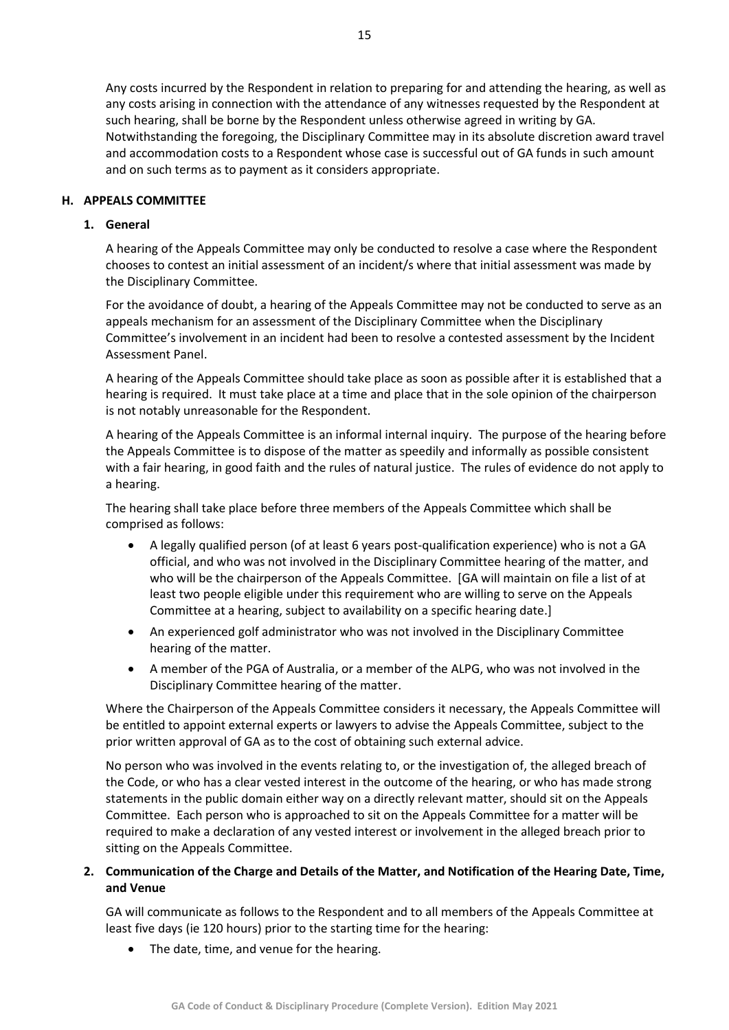Any costs incurred by the Respondent in relation to preparing for and attending the hearing, as well as any costs arising in connection with the attendance of any witnesses requested by the Respondent at such hearing, shall be borne by the Respondent unless otherwise agreed in writing by GA. Notwithstanding the foregoing, the Disciplinary Committee may in its absolute discretion award travel and accommodation costs to a Respondent whose case is successful out of GA funds in such amount and on such terms as to payment as it considers appropriate.

#### <span id="page-14-1"></span><span id="page-14-0"></span>**H. APPEALS COMMITTEE**

#### **1. General**

A hearing of the Appeals Committee may only be conducted to resolve a case where the Respondent chooses to contest an initial assessment of an incident/s where that initial assessment was made by the Disciplinary Committee.

For the avoidance of doubt, a hearing of the Appeals Committee may not be conducted to serve as an appeals mechanism for an assessment of the Disciplinary Committee when the Disciplinary Committee's involvement in an incident had been to resolve a contested assessment by the Incident Assessment Panel.

A hearing of the Appeals Committee should take place as soon as possible after it is established that a hearing is required. It must take place at a time and place that in the sole opinion of the chairperson is not notably unreasonable for the Respondent.

A hearing of the Appeals Committee is an informal internal inquiry. The purpose of the hearing before the Appeals Committee is to dispose of the matter as speedily and informally as possible consistent with a fair hearing, in good faith and the rules of natural justice. The rules of evidence do not apply to a hearing.

The hearing shall take place before three members of the Appeals Committee which shall be comprised as follows:

- A legally qualified person (of at least 6 years post-qualification experience) who is not a GA official, and who was not involved in the Disciplinary Committee hearing of the matter, and who will be the chairperson of the Appeals Committee. [GA will maintain on file a list of at least two people eligible under this requirement who are willing to serve on the Appeals Committee at a hearing, subject to availability on a specific hearing date.]
- An experienced golf administrator who was not involved in the Disciplinary Committee hearing of the matter.
- A member of the PGA of Australia, or a member of the ALPG, who was not involved in the Disciplinary Committee hearing of the matter.

Where the Chairperson of the Appeals Committee considers it necessary, the Appeals Committee will be entitled to appoint external experts or lawyers to advise the Appeals Committee, subject to the prior written approval of GA as to the cost of obtaining such external advice.

No person who was involved in the events relating to, or the investigation of, the alleged breach of the Code, or who has a clear vested interest in the outcome of the hearing, or who has made strong statements in the public domain either way on a directly relevant matter, should sit on the Appeals Committee. Each person who is approached to sit on the Appeals Committee for a matter will be required to make a declaration of any vested interest or involvement in the alleged breach prior to sitting on the Appeals Committee.

#### <span id="page-14-2"></span>**2. Communication of the Charge and Details of the Matter, and Notification of the Hearing Date, Time, and Venue**

GA will communicate as follows to the Respondent and to all members of the Appeals Committee at least five days (ie 120 hours) prior to the starting time for the hearing:

• The date, time, and venue for the hearing.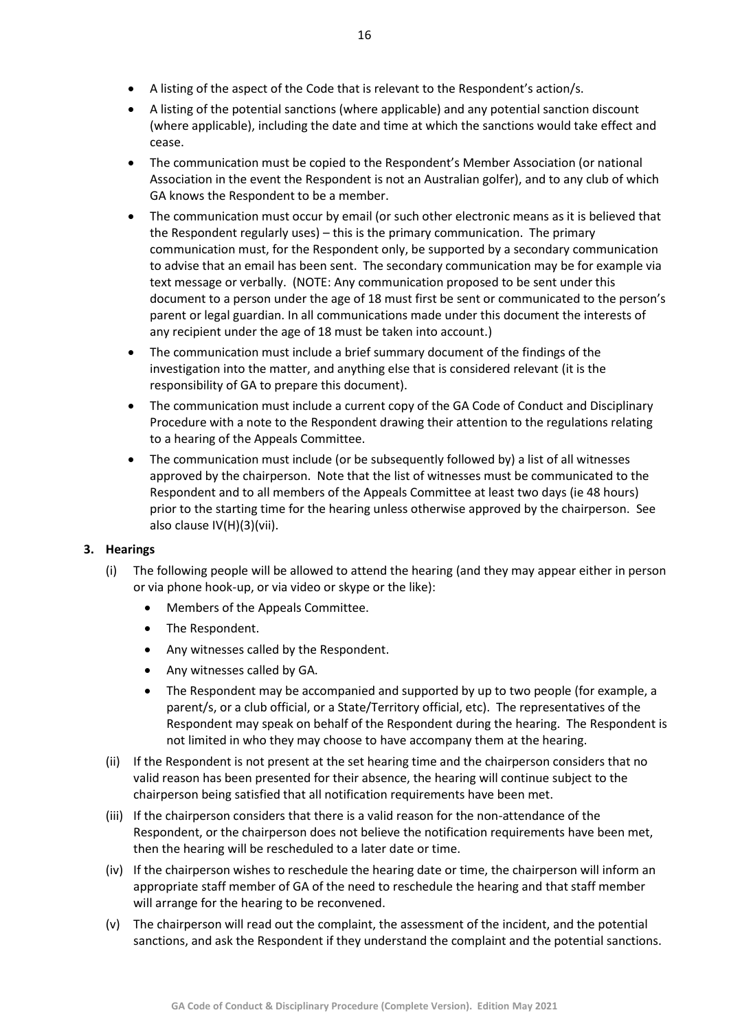- A listing of the aspect of the Code that is relevant to the Respondent's action/s.
- A listing of the potential sanctions (where applicable) and any potential sanction discount (where applicable), including the date and time at which the sanctions would take effect and cease.
- The communication must be copied to the Respondent's Member Association (or national Association in the event the Respondent is not an Australian golfer), and to any club of which GA knows the Respondent to be a member.
- The communication must occur by email (or such other electronic means as it is believed that the Respondent regularly uses) – this is the primary communication. The primary communication must, for the Respondent only, be supported by a secondary communication to advise that an email has been sent. The secondary communication may be for example via text message or verbally. (NOTE: Any communication proposed to be sent under this document to a person under the age of 18 must first be sent or communicated to the person's parent or legal guardian. In all communications made under this document the interests of any recipient under the age of 18 must be taken into account.)
- The communication must include a brief summary document of the findings of the investigation into the matter, and anything else that is considered relevant (it is the responsibility of GA to prepare this document).
- The communication must include a current copy of the GA Code of Conduct and Disciplinary Procedure with a note to the Respondent drawing their attention to the regulations relating to a hearing of the Appeals Committee.
- The communication must include (or be subsequently followed by) a list of all witnesses approved by the chairperson. Note that the list of witnesses must be communicated to the Respondent and to all members of the Appeals Committee at least two days (ie 48 hours) prior to the starting time for the hearing unless otherwise approved by the chairperson. See also clause IV(H)(3)(vii).

#### <span id="page-15-0"></span>**3. Hearings**

- (i) The following people will be allowed to attend the hearing (and they may appear either in person or via phone hook-up, or via video or skype or the like):
	- Members of the Appeals Committee.
	- The Respondent.
	- Any witnesses called by the Respondent.
	- Any witnesses called by GA.
	- The Respondent may be accompanied and supported by up to two people (for example, a parent/s, or a club official, or a State/Territory official, etc). The representatives of the Respondent may speak on behalf of the Respondent during the hearing. The Respondent is not limited in who they may choose to have accompany them at the hearing.
- (ii) If the Respondent is not present at the set hearing time and the chairperson considers that no valid reason has been presented for their absence, the hearing will continue subject to the chairperson being satisfied that all notification requirements have been met.
- (iii) If the chairperson considers that there is a valid reason for the non-attendance of the Respondent, or the chairperson does not believe the notification requirements have been met, then the hearing will be rescheduled to a later date or time.
- (iv) If the chairperson wishes to reschedule the hearing date or time, the chairperson will inform an appropriate staff member of GA of the need to reschedule the hearing and that staff member will arrange for the hearing to be reconvened.
- (v) The chairperson will read out the complaint, the assessment of the incident, and the potential sanctions, and ask the Respondent if they understand the complaint and the potential sanctions.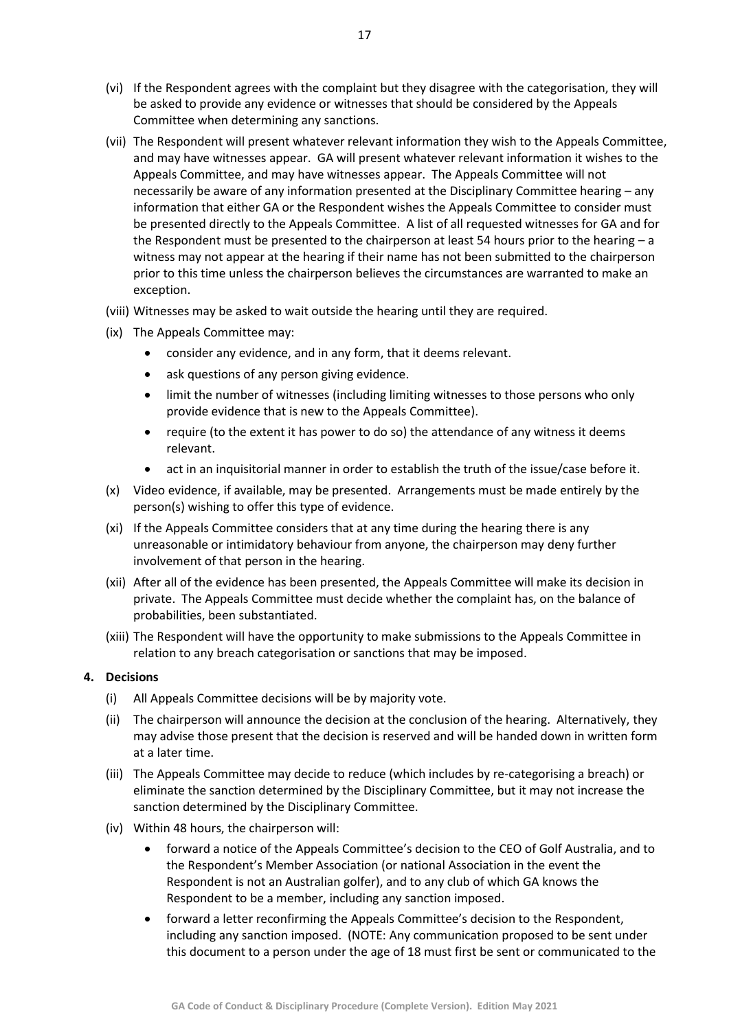- (vi) If the Respondent agrees with the complaint but they disagree with the categorisation, they will be asked to provide any evidence or witnesses that should be considered by the Appeals Committee when determining any sanctions.
- (vii) The Respondent will present whatever relevant information they wish to the Appeals Committee, and may have witnesses appear. GA will present whatever relevant information it wishes to the Appeals Committee, and may have witnesses appear. The Appeals Committee will not necessarily be aware of any information presented at the Disciplinary Committee hearing – any information that either GA or the Respondent wishes the Appeals Committee to consider must be presented directly to the Appeals Committee. A list of all requested witnesses for GA and for the Respondent must be presented to the chairperson at least 54 hours prior to the hearing  $-a$ witness may not appear at the hearing if their name has not been submitted to the chairperson prior to this time unless the chairperson believes the circumstances are warranted to make an exception.
- (viii) Witnesses may be asked to wait outside the hearing until they are required.
- (ix) The Appeals Committee may:
	- consider any evidence, and in any form, that it deems relevant.
	- ask questions of any person giving evidence.
	- limit the number of witnesses (including limiting witnesses to those persons who only provide evidence that is new to the Appeals Committee).
	- require (to the extent it has power to do so) the attendance of any witness it deems relevant.
	- act in an inquisitorial manner in order to establish the truth of the issue/case before it.
- (x) Video evidence, if available, may be presented. Arrangements must be made entirely by the person(s) wishing to offer this type of evidence.
- (xi) If the Appeals Committee considers that at any time during the hearing there is any unreasonable or intimidatory behaviour from anyone, the chairperson may deny further involvement of that person in the hearing.
- (xii) After all of the evidence has been presented, the Appeals Committee will make its decision in private. The Appeals Committee must decide whether the complaint has, on the balance of probabilities, been substantiated.
- (xiii) The Respondent will have the opportunity to make submissions to the Appeals Committee in relation to any breach categorisation or sanctions that may be imposed.

#### <span id="page-16-0"></span>**4. Decisions**

- (i) All Appeals Committee decisions will be by majority vote.
- (ii) The chairperson will announce the decision at the conclusion of the hearing. Alternatively, they may advise those present that the decision is reserved and will be handed down in written form at a later time.
- (iii) The Appeals Committee may decide to reduce (which includes by re-categorising a breach) or eliminate the sanction determined by the Disciplinary Committee, but it may not increase the sanction determined by the Disciplinary Committee.
- (iv) Within 48 hours, the chairperson will:
	- forward a notice of the Appeals Committee's decision to the CEO of Golf Australia, and to the Respondent's Member Association (or national Association in the event the Respondent is not an Australian golfer), and to any club of which GA knows the Respondent to be a member, including any sanction imposed.
	- forward a letter reconfirming the Appeals Committee's decision to the Respondent, including any sanction imposed. (NOTE: Any communication proposed to be sent under this document to a person under the age of 18 must first be sent or communicated to the